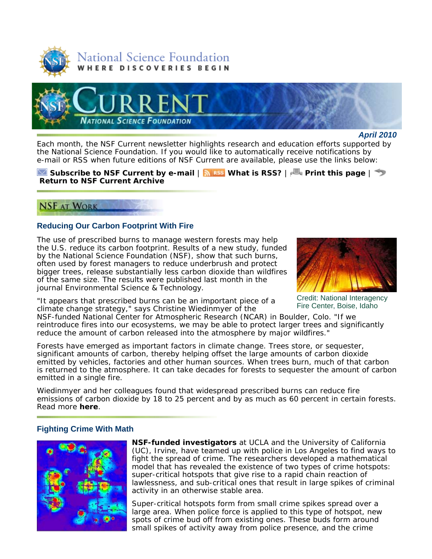



#### *April 2010*

Each month, the *NSF Current* newsletter highlights research and education efforts supported by the National Science Foundation. If you would like to automatically receive notifications by e-mail or RSS when future editions of *NSF Current* are available, please use the links below:

## **Subscribe to** *NSF Current* **by e-mail** | **What is RSS?** | **Print this page** | **Return to** *NSF Current* **Archive**

# **NSF AT WORK**

## **Reducing Our Carbon Footprint With Fire**

The use of prescribed burns to manage western forests may help the U.S. reduce its carbon footprint. Results of a new study, funded by the National Science Foundation (NSF), show that such burns, often used by forest managers to reduce underbrush and protect bigger trees, release substantially less carbon dioxide than wildfires of the same size. The results were published last month in the journal *Environmental Science & Technology*.

"It appears that prescribed burns can be an important piece of a Credit: National Interagency climate change strategy," says Christine Wiedinmyer of the Fire Center, Boise, Idaho



 NSF-funded National Center for Atmospheric Research (NCAR) in Boulder, Colo. "If we reintroduce fires into our ecosystems, we may be able to protect larger trees and significantly reduce the amount of carbon released into the atmosphere by major wildfires."

 Forests have emerged as important factors in climate change. Trees store, or sequester, significant amounts of carbon, thereby helping offset the large amounts of carbon dioxide emitted by vehicles, factories and other human sources. When trees burn, much of that carbon is returned to the atmosphere. It can take decades for forests to sequester the amount of carbon emitted in a single fire.

 emissions of carbon dioxide by 18 to 25 percent and by as much as 60 percent in certain forests. Wiedinmyer and her colleagues found that widespread prescribed burns can reduce fire Read more **here**.

## **Fighting Crime With Math**



**NSF-funded investigators** at UCLA and the University of California (UC), Irvine, have teamed up with police in Los Angeles to find ways to fight the spread of crime. The researchers developed a mathematical model that has revealed the existence of two types of crime hotspots: super-critical hotspots that give rise to a rapid chain reaction of lawlessness, and sub-critical ones that result in large spikes of criminal activity in an otherwise stable area.

Super-critical hotspots form from small crime spikes spread over a large area. When police force is applied to this type of hotspot, new spots of crime bud off from existing ones. These buds form around small spikes of activity away from police presence, and the crime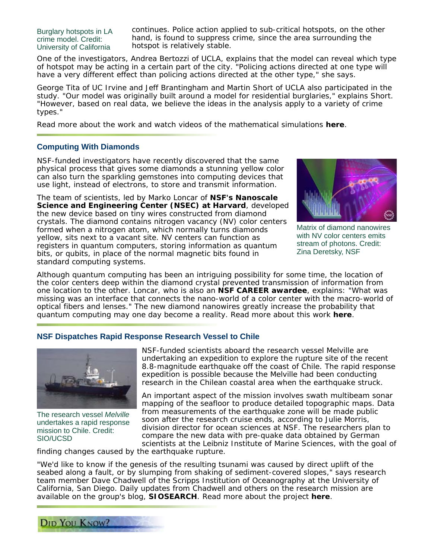Burglary hotspots in LA continues. Police action applied to sub-critical hotspots, on the other crime model. Credit: hand, is found to suppress crime, since the area surrounding the University of California hotspot is relatively stable.

One of the investigators, Andrea Bertozzi of UCLA, explains that the model can reveal which type of hotspot may be acting in a certain part of the city. "Policing actions directed at one type will have a very different effect than policing actions directed at the other type," she says.

George Tita of UC Irvine and Jeff Brantingham and Martin Short of UCLA also participated in the study. "Our model was originally built around a model for residential burglaries," explains Short. "However, based on real data, we believe the ideas in the analysis apply to a variety of crime types."

Read more about the work and watch videos of the mathematical simulations **here**.

## **Computing With Diamonds**

 use light, instead of electrons, to store and transmit information. NSF-funded investigators have recently discovered that the same physical process that gives some diamonds a stunning yellow color can also turn the sparkling gemstones into computing devices that

The team of scientists, led by Marko Loncar of **NSF's Nanoscale Science and Engineering Center (NSEC) at Harvard**, developed the new device based on tiny wires constructed from diamond crystals. The diamond contains nitrogen vacancy (NV) color centers formed when a nitrogen atom, which normally turns diamonds yellow, sits next to a vacant site. NV centers can function as registers in quantum computers, storing information as quantum bits, or qubits, in place of the normal magnetic bits found in standard computing systems.



Matrix of diamond nanowires with NV color centers emits stream of photons. Credit: Zina Deretsky, NSF

Although quantum computing has been an intriguing possibility for some time, the location of the color centers deep within the diamond crystal prevented transmission of information from one location to the other. Loncar, who is also an **NSF CAREER awardee**, explains: "What was missing was an interface that connects the nano-world of a color center with the macro-world of optical fibers and lenses." The new diamond nanowires greatly increase the probability that quantum computing may one day become a reality. Read more about this work **here**.

#### **NSF Dispatches Rapid Response Research Vessel to Chile**



DID YOU KNOW?

NSF-funded scientists aboard the research vessel *Melville* are undertaking an expedition to explore the rupture site of the recent 8.8-magnitude earthquake off the coast of Chile. The rapid response expedition is possible because the *Melville* had been conducting research in the Chilean coastal area when the earthquake struck.

An important aspect of the mission involves swath multibeam sonar mapping of the seafloor to produce detailed topographic maps. Data The research vessel *Melville* from measurements of the earthquake zone will be made public undertakes a rapid response soon after the research cruise ends, according to Julie Morris, mission to Chile. Credit: division director for ocean sciences at NSF. The researchers plan to<br>sion to Chile. Credit: compare the new data with pre-quake data obtained by German compare the new data with pre-quake data obtained by German SIO/UCSD scientists at the Leibniz Institute of Marine Sciences, with the goal of

finding changes caused by the earthquake rupture.

"We'd like to know if the genesis of the resulting tsunami was caused by direct uplift of the seabed along a fault, or by slumping from shaking of sediment-covered slopes," says research team member Dave Chadwell of the Scripps Institution of Oceanography at the University of California, San Diego. Daily updates from Chadwell and others on the research mission are available on the group's blog, **SIOSEARCH**. Read more about the project **here**.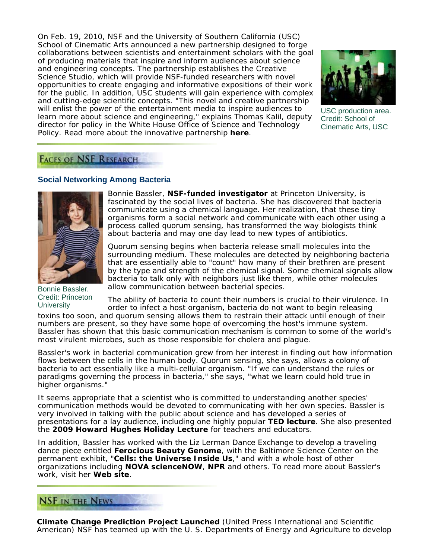On Feb. 19, 2010, NSF and the University of Southern California (USC) School of Cinematic Arts announced a new partnership designed to forge collaborations between scientists and entertainment scholars with the goal of producing materials that inspire and inform audiences about science and engineering concepts. The partnership establishes the Creative Science Studio, which will provide NSF-funded researchers with novel opportunities to create engaging and informative expositions of their work for the public. In addition, USC students will gain experience with complex and cutting-edge scientific concepts. "This novel and creative partnership will enlist the power of the entertainment media to inspire audiences to USC production area.<br>learn more about science and engineering," explains Thomas Kalil, deputy Credit: School of director for policy in the White House Office of Science and Technology Cinematic Arts, USC Policy. Read more about the innovative partnership **here**.



# **FACES OF NSF RESEARCH**

# **Social Networking Among Bacteria**



Bonnie Bassler. Credit: Princeton **University** 

Bonnie Bassler, **NSF-funded investigator** at Princeton University, is fascinated by the social lives of bacteria. She has discovered that bacteria communicate using a chemical language. Her realization, that these tiny organisms form a social network and communicate with each other using a process called quorum sensing, has transformed the way biologists think about bacteria and may one day lead to new types of antibiotics.

Quorum sensing begins when bacteria release small molecules into the surrounding medium. These molecules are detected by neighboring bacteria that are essentially able to "count" how many of their brethren are present by the type and strength of the chemical signal. Some chemical signals allow bacteria to talk only with neighbors just like them, while other molecules allow communication between bacterial species.

The ability of bacteria to count their numbers is crucial to their virulence. In order to infect a host organism, bacteria do not want to begin releasing

toxins too soon, and quorum sensing allows them to restrain their attack until enough of their numbers are present, so they have some hope of overcoming the host's immune system. Bassler has shown that this basic communication mechanism is common to some of the world's most virulent microbes, such as those responsible for cholera and plague.

Bassler's work in bacterial communication grew from her interest in finding out how information flows between the cells in the human body. Quorum sensing, she says, allows a colony of bacteria to act essentially like a multi-cellular organism. "If we can understand the rules or paradigms governing the process in bacteria," she says, "what we learn could hold true in higher organisms."

It seems appropriate that a scientist who is committed to understanding another species' communication methods would be devoted to communicating with her own species. Bassler is very involved in talking with the public about science and has developed a series of presentations for a lay audience, including one highly popular **TED lecture**. She also presented the **2009 Howard Hughes Holiday Lecture** for teachers and educators.

In addition, Bassler has worked with the Liz Lerman Dance Exchange to develop a traveling dance piece entitled **Ferocious Beauty Genome**, with the Baltimore Science Center on the permanent exhibit, "**Cells: the Universe Inside Us**," and with a whole host of other organizations including **NOVA scienceNOW**, **NPR** and others. To read more about Bassler's work, visit her **Web site**.

# **NSF IN THE NEWS**

**Climate Change Prediction Project Launched** (*United Press International* and *Scientific American*) NSF has teamed up with the U. S. Departments of Energy and Agriculture to develop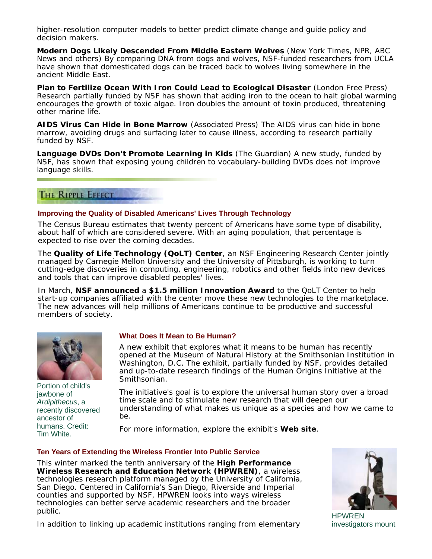higher-resolution computer models to better predict climate change and guide policy and decision makers.

**Modern Dogs Likely Descended From Middle Eastern Wolves** (*New York Times*, *NPR*, *ABC News* and others) By comparing DNA from dogs and wolves, NSF-funded researchers from UCLA have shown that domesticated dogs can be traced back to wolves living somewhere in the ancient Middle East.

**Plan to Fertilize Ocean With Iron Could Lead to Ecological Disaster** (*London Free Press*) Research partially funded by NSF has shown that adding iron to the ocean to halt global warming encourages the growth of toxic algae. Iron doubles the amount of toxin produced, threatening other marine life.

**AIDS Virus Can Hide in Bone Marrow** (*Associated Press*) The AIDS virus can hide in bone marrow, avoiding drugs and surfacing later to cause illness, according to research partially funded by NSF.

**Language DVDs Don't Promote Learning in Kids** (*The Guardian*) A new study, funded by NSF, has shown that exposing young children to vocabulary-building DVDs does not improve language skills.

# THE RIPPLE EFFECT

#### **Improving the Quality of Disabled Americans' Lives Through Technology**

The Census Bureau estimates that twenty percent of Americans have some type of disability, about half of which are considered severe. With an aging population, that percentage is expected to rise over the coming decades.

The **Quality of Life Technology (QoLT) Center**, an NSF Engineering Research Center jointly managed by Carnegie Mellon University and the University of Pittsburgh, is working to turn cutting-edge discoveries in computing, engineering, robotics and other fields into new devices and tools that can improve disabled peoples' lives.

In March, **NSF announced** a **\$1.5 million Innovation Award** to the QoLT Center to help start-up companies affiliated with the center move these new technologies to the marketplace. The new advances will help millions of Americans continue to be productive and successful members of society.



Portion of child's<br>jawbone of ancestor of be.

## **What Does It Mean to Be Human?**

A new exhibit that explores what it means to be human has recently opened at the Museum of Natural History at the Smithsonian Institution in Washington, D.C. The exhibit, partially funded by NSF, provides detailed and up-to-date research findings of the Human Origins Initiative at the Smithsonian.

The initiative's goal is to explore the universal human story over a broad *Ardipithecus*, a time scale and to stimulate new research that will deepen our recently discovered understanding of what makes us unique as a species and how we came to recently discovered be.

humans. Credit: For more information, explore the exhibit's **Web site**. Tim White.

## **Ten Years of Extending the Wireless Frontier Into Public Service**

This winter marked the tenth anniversary of the **High Performance Wireless Research and Education Network (HPWREN)**, a wireless technologies research platform managed by the University of California, San Diego. Centered in California's San Diego, Riverside and Imperial counties and supported by NSF, HPWREN looks into ways wireless technologies can better serve academic researchers and the broader public.



**HPWREN** investigators mount

In addition to linking up academic institutions ranging from elementary